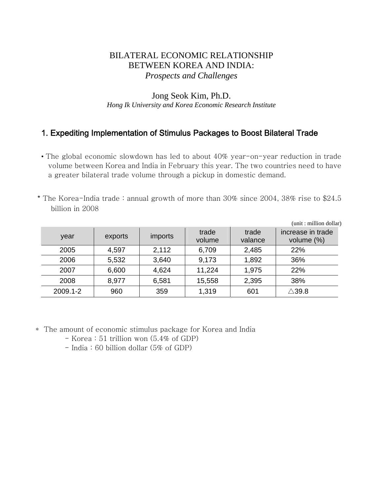## BILATERAL ECONOMIC RELATIONSHIP BETWEEN KOREA AND INDIA: *Prospects and Challenges*

#### Jong Seok Kim, Ph.D. *Hong Ik University and Korea Economic Research Institute*

# 1. Expediting Implementation of Stimulus Packages to Boost Bilateral Trade

- The global economic slowdown has led to about 40% year-on-year reduction in trade volume between Korea and India in February this year. The two countries need to have a greater bilateral trade volume through a pickup in domestic demand.
- \* The Korea-India trade : annual growth of more than 30% since 2004, 38% rise to \$24.5 billion in 2008

|          |         |         |                 |                  | (unit: million dollar)             |
|----------|---------|---------|-----------------|------------------|------------------------------------|
| year     | exports | imports | trade<br>volume | trade<br>valance | increase in trade<br>volume $(\%)$ |
| 2005     | 4,597   | 2,112   | 6,709           | 2,485            | 22%                                |
| 2006     | 5,532   | 3,640   | 9,173           | 1,892            | 36%                                |
| 2007     | 6,600   | 4,624   | 11,224          | 1,975            | 22%                                |
| 2008     | 8,977   | 6,581   | 15,558          | 2,395            | 38%                                |
| 2009.1-2 | 960     | 359     | 1,319           | 601              | $\triangle$ 39.8                   |

- \* The amount of economic stimulus package for Korea and India
	- Korea : 51 trillion won (5.4% of GDP)
	- India : 60 billion dollar (5% of GDP)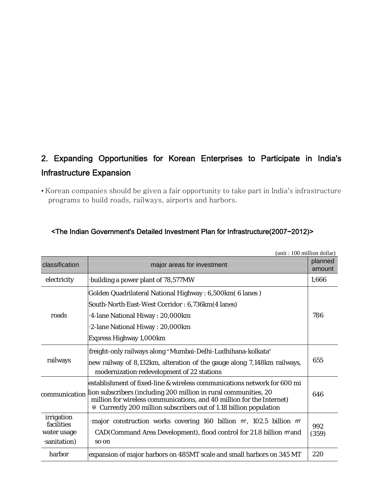# 2. Expanding Opportunities for Korean Enterprises to Participate in India's Infrastructure Expansion

• Korean companies should be given a fair opportunity to take part in India's infrastructure programs to build roads, railways, airports and harbors.

|                                                        | (unit: 100 million dollar)                                                                                                                                                                                                                                                                  |                   |
|--------------------------------------------------------|---------------------------------------------------------------------------------------------------------------------------------------------------------------------------------------------------------------------------------------------------------------------------------------------|-------------------|
| classification                                         | major areas for investment                                                                                                                                                                                                                                                                  | planned<br>amount |
| electricity                                            | building a power plant of 78,577MW                                                                                                                                                                                                                                                          | 1,666             |
| roads                                                  | Golden Quadrilateral National Highway: 6,500km (6 lanes)<br>South-North East-West Corridor: 6,736km(4 lanes)<br>4-lane National Hiway : 20,000km<br>2-lane National Hiway: 20,000km<br>Express Highway 1,000km                                                                              | 786               |
| railways                                               | freight-only railways along "Mumbai-Delhi-Ludhihana-kolkata"<br>new railway of 8,132km, alteration of the gauge along 7,148km railways,<br>modernization redevelopment of 22 stations                                                                                                       | 655               |
| communication                                          | establishment of fixed-line & wireless communications network for 600 mi<br>lion subscribers (including 200 million in rural communities, 20<br>million for wireless communications, and 40 million for the Internet)<br>X Currently 200 million subscribers out of 1.18 billion population | 646               |
| irrigation<br>facilities<br>water usage<br>sanitation) | major construction works covering 160 billion m <sup>2</sup> , 102.5 billion m <sup>2</sup><br>CAD(Command Area Development), flood control for 21.8 billion m'and<br>so on                                                                                                                 | 992<br>(359)      |
| harbor                                                 | expansion of major harbors on 485MT scale and small harbors on 345 MT                                                                                                                                                                                                                       | 220               |

### <The Indian Government's Detailed Investment Plan for Infrastructure(2007~2012)>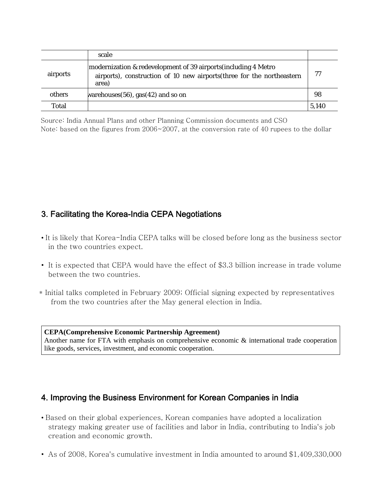|          | scale                                                                                                                                              |       |
|----------|----------------------------------------------------------------------------------------------------------------------------------------------------|-------|
| airports | modernization & redevelopment of 39 airports (including 4 Metro<br>airports), construction of 10 new airports (three for the northeastern<br>area) | 77    |
| others   | warehouses $(56)$ , gas $(42)$ and so on                                                                                                           | 98    |
| Total    |                                                                                                                                                    | 5.140 |

Source: India Annual Plans and other Planning Commission documents and CSO Note: based on the figures from  $2006 \sim 2007$ , at the conversion rate of 40 rupees to the dollar

# 3. Facilitating the Korea-India CEPA Negotiations

- It is likely that Korea-India CEPA talks will be closed before long as the business sector in the two countries expect.
- It is expected that CEPA would have the effect of \$3.3 billion increase in trade volume between the two countries.
- \* Initial talks completed in February 2009; Official signing expected by representatives from the two countries after the May general election in India.

#### **CEPA(Comprehensive Economic Partnership Agreement)**  Another name for FTA with emphasis on comprehensive economic & international trade cooperation like goods, services, investment, and economic cooperation.

# 4. Improving the Business Environment for Korean Companies in India

- Based on their global experiences, Korean companies have adopted a localization strategy making greater use of facilities and labor in India, contributing to India's job creation and economic growth.
- As of 2008, Korea's cumulative investment in India amounted to around \$1,409,330,000